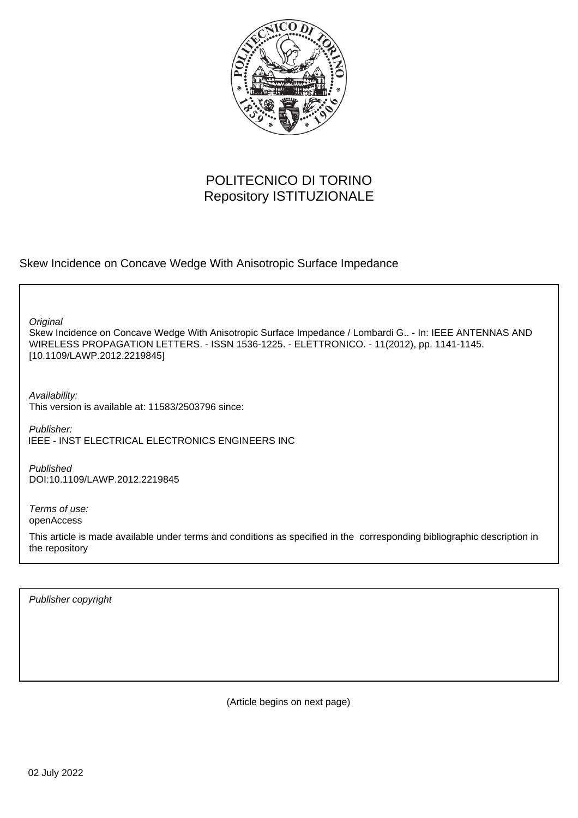

# POLITECNICO DI TORINO Repository ISTITUZIONALE

Skew Incidence on Concave Wedge With Anisotropic Surface Impedance

**Original** 

Skew Incidence on Concave Wedge With Anisotropic Surface Impedance / Lombardi G.. - In: IEEE ANTENNAS AND WIRELESS PROPAGATION LETTERS. - ISSN 1536-1225. - ELETTRONICO. - 11(2012), pp. 1141-1145. [10.1109/LAWP.2012.2219845]

Availability: This version is available at: 11583/2503796 since:

Publisher: IEEE - INST ELECTRICAL ELECTRONICS ENGINEERS INC

Published DOI:10.1109/LAWP.2012.2219845

Terms of use: openAccess

This article is made available under terms and conditions as specified in the corresponding bibliographic description in the repository

Publisher copyright

(Article begins on next page)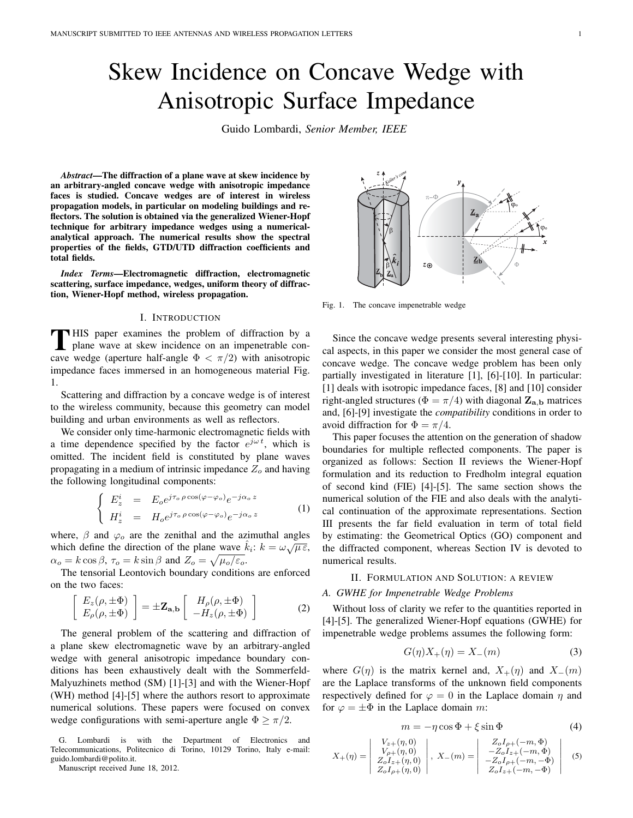# Skew Incidence on Concave Wedge with Anisotropic Surface Impedance

Guido Lombardi, *Senior Member, IEEE*

*Abstract*—The diffraction of a plane wave at skew incidence by an arbitrary-angled concave wedge with anisotropic impedance faces is studied. Concave wedges are of interest in wireless propagation models, in particular on modeling buildings and reflectors. The solution is obtained via the generalized Wiener-Hopf technique for arbitrary impedance wedges using a numericalanalytical approach. The numerical results show the spectral properties of the fields, GTD/UTD diffraction coefficients and total fields.

*Index Terms*—Electromagnetic diffraction, electromagnetic scattering, surface impedance, wedges, uniform theory of diffraction, Wiener-Hopf method, wireless propagation.

## I. INTRODUCTION

**T**HIS paper examines the problem of diffraction by a plane wave at skew incidence on an impenetrable con-**HIS** paper examines the problem of diffraction by a cave wedge (aperture half-angle  $\Phi < \pi/2$ ) with anisotropic impedance faces immersed in an homogeneous material Fig. 1.

Scattering and diffraction by a concave wedge is of interest to the wireless community, because this geometry can model building and urban environments as well as reflectors.

We consider only time-harmonic electromagnetic fields with a time dependence specified by the factor  $e^{j\omega t}$ , which is omitted. The incident field is constituted by plane waves propagating in a medium of intrinsic impedance  $Z<sub>o</sub>$  and having the following longitudinal components:

$$
\begin{cases}\nE_z^i = E_o e^{j\tau_o \rho \cos(\varphi - \varphi_o)} e^{-j\alpha_o z} \\
H_z^i = H_o e^{j\tau_o \rho \cos(\varphi - \varphi_o)} e^{-j\alpha_o z}\n\end{cases}
$$
\n(1)

where,  $\beta$  and  $\varphi_o$  are the zenithal and the azimuthal angles which define the direction of the plane wave  $\hat{k}_i$ :  $k = \omega \sqrt{\mu \varepsilon}$ ,  $\alpha_o = k \cos \beta$ ,  $\tau_o = k \sin \beta$  and  $Z_o = \sqrt{\mu_o/\varepsilon_o}$ .

The tensorial Leontovich boundary conditions are enforced on the two faces:

$$
\begin{bmatrix} E_z(\rho, \pm \Phi) \\ E_\rho(\rho, \pm \Phi) \end{bmatrix} = \pm \mathbf{Z}_{\mathbf{a},\mathbf{b}} \begin{bmatrix} H_\rho(\rho, \pm \Phi) \\ -H_z(\rho, \pm \Phi) \end{bmatrix}
$$
 (2)

The general problem of the scattering and diffraction of a plane skew electromagnetic wave by an arbitrary-angled wedge with general anisotropic impedance boundary conditions has been exhaustively dealt with the Sommerfeld-Malyuzhinets method (SM) [1]-[3] and with the Wiener-Hopf (WH) method [4]-[5] where the authors resort to approximate numerical solutions. These papers were focused on convex wedge configurations with semi-aperture angle  $\Phi \geq \pi/2$ .



Fig. 1. The concave impenetrable wedge

Since the concave wedge presents several interesting physical aspects, in this paper we consider the most general case of concave wedge. The concave wedge problem has been only partially investigated in literature [1], [6]-[10]. In particular: [1] deals with isotropic impedance faces, [8] and [10] consider right-angled structures ( $\Phi = \pi/4$ ) with diagonal  $\mathbf{Z}_{\mathbf{a},\mathbf{b}}$  matrices and, [6]-[9] investigate the *compatibility* conditions in order to avoid diffraction for  $\Phi = \pi/4$ .

This paper focuses the attention on the generation of shadow boundaries for multiple reflected components. The paper is organized as follows: Section II reviews the Wiener-Hopf formulation and its reduction to Fredholm integral equation of second kind (FIE) [4]-[5]. The same section shows the numerical solution of the FIE and also deals with the analytical continuation of the approximate representations. Section III presents the far field evaluation in term of total field by estimating: the Geometrical Optics (GO) component and the diffracted component, whereas Section IV is devoted to numerical results.

# II. FORMULATION AND SOLUTION: A REVIEW

# *A. GWHE for Impenetrable Wedge Problems*

Without loss of clarity we refer to the quantities reported in [4]-[5]. The generalized Wiener-Hopf equations (GWHE) for impenetrable wedge problems assumes the following form:

$$
G(\eta)X_{+}(\eta) = X_{-}(m) \tag{3}
$$

where  $G(\eta)$  is the matrix kernel and,  $X_+(\eta)$  and  $X_-(m)$ are the Laplace transforms of the unknown field components respectively defined for  $\varphi = 0$  in the Laplace domain  $\eta$  and for  $\varphi = \pm \Phi$  in the Laplace domain m:

$$
m = -\eta \cos \Phi + \xi \sin \Phi \tag{4}
$$

$$
X_{+}(\eta) = \begin{vmatrix} V_{z+}(\eta, 0) \\ V_{\rho+}(\eta, 0) \\ Z_{o}I_{z+}(\eta, 0) \\ Z_{o}I_{\rho+}(\eta, 0) \end{vmatrix}, X_{-}(m) = \begin{vmatrix} Z_{o}I_{\rho+}(-m, \Phi) \\ -Z_{o}I_{z+}(-m, \Phi) \\ -Z_{o}I_{\rho+}(-m, -\Phi) \\ Z_{o}I_{z+}(-m, -\Phi) \end{vmatrix}
$$
(5)

G. Lombardi is with the Department of Electronics and Telecommunications, Politecnico di Torino, 10129 Torino, Italy e-mail: guido.lombardi@polito.it.

Manuscript received June 18, 2012.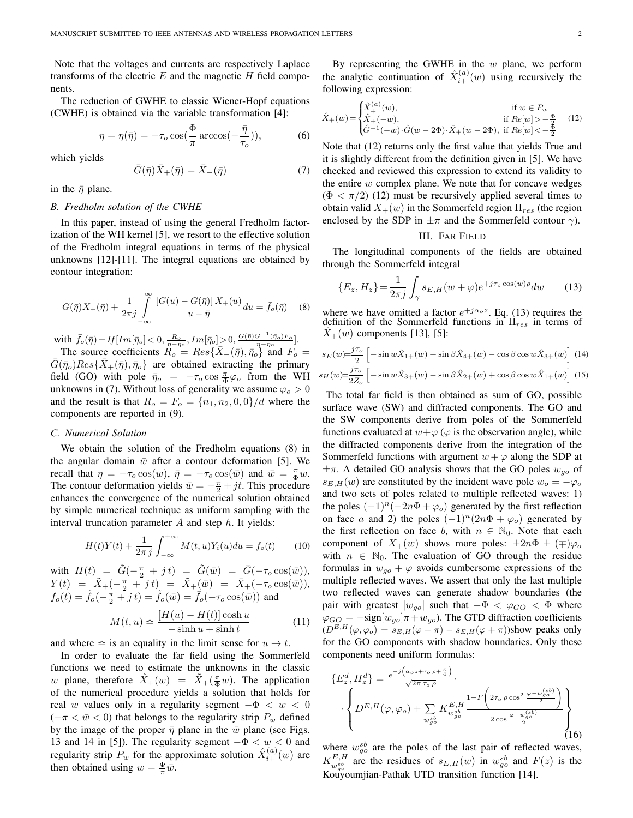Note that the voltages and currents are respectively Laplace transforms of the electric  $E$  and the magnetic  $H$  field components.

The reduction of GWHE to classic Wiener-Hopf equations (CWHE) is obtained via the variable transformation [4]:

$$
\eta = \eta(\bar{\eta}) = -\tau_o \cos(\frac{\Phi}{\pi} \arccos(-\frac{\bar{\eta}}{\tau_o})),\tag{6}
$$

which yields

$$
\bar{G}(\bar{\eta})\bar{X}_{+}(\bar{\eta}) = \bar{X}_{-}(\bar{\eta})\tag{7}
$$

in the  $\bar{\eta}$  plane.

### *B. Fredholm solution of the CWHE*

In this paper, instead of using the general Fredholm factorization of the WH kernel [5], we resort to the effective solution of the Fredholm integral equations in terms of the physical unknowns [12]-[11]. The integral equations are obtained by contour integration:

$$
G(\bar{\eta})X_{+}(\bar{\eta}) + \frac{1}{2\pi j} \int_{-\infty}^{\infty} \frac{[G(u) - G(\bar{\eta})]X_{+}(u)}{u - \bar{\eta}} du = \bar{f}_{o}(\bar{\eta}) \quad (8)
$$

with  $\bar{f}_o(\bar{\eta})=$   $If[Im[\bar{\eta}_o]<0, \frac{R_o}{\bar{\eta}-\bar{\eta}_o},Im[\bar{\eta}_o]>0, \frac{G(\bar{\eta})G^{-1}(\bar{\eta}_o)F_o}{\bar{\eta}-\bar{\eta}_o}].$ 

The source coefficients  $R_o = Res\{\bar{X}_-(\bar{\eta}), \bar{\eta}_o\}$  and  $F_o =$  $\bar{G}(\bar{\eta}_o)Res\{\bar{X}_+(\bar{\eta}),\bar{\eta}_o\}$  are obtained extracting the primary field (GO) with pole  $\bar{\eta}_o = -\tau_o \cos \frac{\pi}{\Phi} \varphi_o$  from the WH unknowns in (7). Without loss of generality we assume  $\varphi_o > 0$ and the result is that  $R_o = F_o = {n_1, n_2, 0, 0}/d$  where the components are reported in (9).

#### *C. Numerical Solution*

We obtain the solution of the Fredholm equations (8) in the angular domain  $\bar{w}$  after a contour deformation [5]. We recall that  $\eta = -\tau_o \cos(w)$ ,  $\bar{\eta} = -\tau_o \cos(\bar{w})$  and  $\bar{w} = \frac{\pi}{\Phi}w$ . The contour deformation yields  $\bar{w} = -\frac{\pi}{2} + jt$ . This procedure enhances the convergence of the numerical solution obtained by simple numerical technique as uniform sampling with the interval truncation parameter  $A$  and step  $h$ . It yields:

$$
H(t)Y(t) + \frac{1}{2\pi j} \int_{-\infty}^{+\infty} M(t, u)Y_i(u) du = f_o(t)
$$
 (10)

with  $H(t) = \tilde{G}(-\frac{\pi}{2} + j t) = \tilde{G}(\bar{w}) = \bar{G}(-\tau_o \cos(\bar{w})),$  $Y(t) = \left[ \tilde{X}_{+}(-\frac{\pi}{2} + j t) \right] = \tilde{X}_{+}(\bar{w}) = \bar{X}_{+}(-\tau_o \cos(\bar{w})),$  $f_o(t) = \tilde{f}_o(-\frac{\pi}{2} + j t) = \tilde{f}_o(\bar{w}) = \bar{f}_o(-\tau_o \cos(\bar{w}))$  and

$$
M(t, u) \simeq \frac{[H(u) - H(t)] \cosh u}{-\sinh u + \sinh t}
$$
 (11)

and where  $\approx$  is an equality in the limit sense for  $u \rightarrow t$ .

In order to evaluate the far field using the Sommerfeld functions we need to estimate the unknowns in the classic w plane, therefore  $\hat{X}_+(w) = \tilde{X}_+(\frac{\pi}{\Phi}w)$ . The application of the numerical procedure yields a solution that holds for real w values only in a regularity segment  $-\Phi < w < 0$  $(-\pi < \bar{w} < 0)$  that belongs to the regularity strip  $P_{\bar{w}}$  defined by the image of the proper  $\bar{\eta}$  plane in the  $\bar{w}$  plane (see Figs. 13 and 14 in [5]). The regularity segment  $-\Phi < w < 0$  and regularity strip  $P_w$  for the approximate solution  $\hat{X}_{i+}^{(a)}(w)$  are then obtained using  $w = \frac{\Phi}{\pi} \bar{w}$ .

By representing the GWHE in the  $w$  plane, we perform the analytic continuation of  $\hat{X}_{i+}^{(a)}(w)$  using recursively the following expression:

$$
\hat{X}_{+}(w) = \begin{cases}\n\hat{X}_{+}^{(a)}(w), & \text{if } w \in P_{w} \\
\hat{X}_{+}(-w), & \text{if } Re[w] > -\frac{\Phi}{2} \\
\hat{G}^{-1}(-w) \cdot \hat{G}(w - 2\Phi) \cdot \hat{X}_{+}(w - 2\Phi), & \text{if } Re[w] < -\frac{\Phi}{2}\n\end{cases}
$$
(12)

Note that (12) returns only the first value that yields True and it is slightly different from the definition given in [5]. We have checked and reviewed this expression to extend its validity to the entire  $w$  complex plane. We note that for concave wedges  $(\Phi < \pi/2)$  (12) must be recursively applied several times to obtain valid  $X_+(w)$  in the Sommerfeld region  $\Pi_{res}$  (the region enclosed by the SDP in  $\pm \pi$  and the Sommerfeld contour  $\gamma$ ).

III. FAR FIELD

The longitudinal components of the fields are obtained through the Sommerfeld integral

$$
\{E_z, H_z\} = \frac{1}{2\pi j} \int_{\gamma} s_{E,H}(w + \varphi) e^{+j\tau_o \cos(w)\rho} dw \qquad (13)
$$

where we have omitted a factor  $e^{+j\alpha_0 z}$ . Eq. (13) requires the definition of the Sommerfeld functions in  $\Pi_{res}$  in terms of  $X_+(w)$  components [13], [5]:

$$
s_E(w) = \frac{j\tau_o}{2} \left[ -\sin w \hat{X}_{1+}(w) + \sin \beta \hat{X}_{4+}(w) - \cos \beta \cos w \hat{X}_{3+}(w) \right] (14)
$$
  

$$
s_H(w) = \frac{j\tau_o}{2Z_o} \left[ -\sin w \hat{X}_{3+}(w) - \sin \beta \hat{X}_{2+}(w) + \cos \beta \cos w \hat{X}_{1+}(w) \right] (15)
$$

The total far field is then obtained as sum of GO, possible surface wave (SW) and diffracted components. The GO and the SW components derive from poles of the Sommerfeld functions evaluated at  $w+\varphi(\varphi)$  is the observation angle), while the diffracted components derive from the integration of the Sommerfeld functions with argument  $w + \varphi$  along the SDP at  $\pm\pi$ . A detailed GO analysis shows that the GO poles  $w_{qo}$  of  $s_{E,H}(w)$  are constituted by the incident wave pole  $w_o = -\varphi_o$ and two sets of poles related to multiple reflected waves: 1) the poles  $(-1)^n(-2n\Phi + \varphi_o)$  generated by the first reflection on face a and 2) the poles  $(-1)^n (2n\Phi + \varphi_o)$  generated by the first reflection on face b, with  $n \in \mathbb{N}_0$ . Note that each component of  $X_+(w)$  shows more poles:  $\pm 2n\Phi \pm (\mp)\varphi_o$ with  $n \in \mathbb{N}_0$ . The evaluation of GO through the residue formulas in  $w_{qo} + \varphi$  avoids cumbersome expressions of the multiple reflected waves. We assert that only the last multiple two reflected waves can generate shadow boundaries (the pair with greatest  $|w_{g0}|$  such that  $-\Phi < \varphi_{GO} < \Phi$  where  $\varphi_{GO} = -\text{sign}[w_{go}]\pi + w_{go}$ ). The GTD diffraction coefficients  $(D^{E,H}(\varphi,\varphi_o) = s_{E,H}(\varphi - \pi) - s_{E,H}(\varphi + \pi)$ )show peaks only for the GO components with shadow boundaries. Only these components need uniform formulas:

$$
\{E_z^d, H_z^d\} = \frac{e^{-j\left(\alpha_o z + \tau_o \rho + \frac{\pi}{4}\right)}}{\sqrt{2\pi \tau_o \rho}} \cdot \left\{ D^{E, H}(\varphi, \varphi_o) + \sum_{w_{go}^{sb}} K_{w_{go}^{sb}}^{E, H} \frac{1 - F\left(2\tau_o \rho \cos^2 \frac{\varphi - w_{go}^{(sb)}}{2}\right)}{2\cos \frac{\varphi - w_{go}^{(sb)}}{2}} \right\}
$$
\n(16)

where  $w_{go}^{sb}$  are the poles of the last pair of reflected waves,  $K_{w_{g_0}^{gb}}^{E,H}$  are the residues of  $s_{E,H}(w)$  in  $w_{g_0}^{sb}$  and  $F(z)$  is the Kouyoumjian-Pathak UTD transition function [14].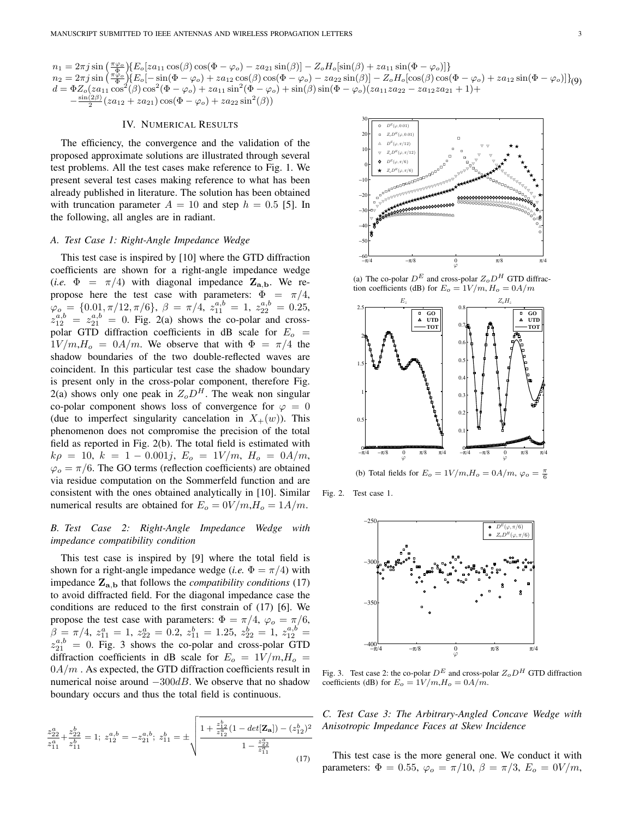$n_1 = 2\pi j \sin\left(\frac{\pi\varphi_o}{\Phi}\right) \left\{E_o[za_{11}\cos(\beta)\cos(\Phi-\varphi_o)-za_{21}\sin(\beta)] - Z_oH_o[\sin(\beta)+za_{11}\sin(\Phi-\varphi_o)]\right\}$  $n_2 = 2\pi j \sin\left(\frac{\pi\tilde{\varphi}_o}{\Phi}\right)\left\{E_o[-\sin(\Phi-\varphi_o)+za_{12}\cos(\theta)\cos(\Phi-\varphi_o)-za_{22}\sin(\theta)] - Z_oH_o[\cos(\theta)\cos(\Phi-\varphi_o)+za_{12}\sin(\Phi-\varphi_o)]\right\}$  $d = \Phi Z_o(za_{11} \cos^2(\beta) \cos^2(\Phi - \varphi_o) + za_{11} \sin^2(\Phi - \varphi_o) + \sin(\beta) \sin(\Phi - \varphi_o)(za_{11}za_{22} - za_{12}za_{21} + 1) +$  $-\frac{\sin(2\beta)}{2}(za_{12}+za_{21})\cos(\Phi-\varphi_o)+za_{22}\sin^2(\beta))$ 

# IV. NUMERICAL RESULTS

The efficiency, the convergence and the validation of the proposed approximate solutions are illustrated through several test problems. All the test cases make reference to Fig. 1. We present several test cases making reference to what has been already published in literature. The solution has been obtained with truncation parameter  $A = 10$  and step  $h = 0.5$  [5]. In the following, all angles are in radiant.

# *A. Test Case 1: Right-Angle Impedance Wedge*

This test case is inspired by [10] where the GTD diffraction coefficients are shown for a right-angle impedance wedge (*i.e.*  $\Phi = \pi/4$ ) with diagonal impedance  $\mathbf{Z}_{a,b}$ . We repropose here the test case with parameters:  $\Phi = \pi/4$ ,  $\varphi$ <sub>o</sub> = {0.01,  $\pi/12$ ,  $\pi/6$ },  $\beta = \pi/4$ ,  $z_{11}^{a,b} = 1$ ,  $z_{22}^{a,b} = 0.25$ ,  $z_{12}^{a,b} = z_{21}^{a,b} = 0$ . Fig. 2(a) shows the co-polar and crosspolar GTD diffraction coefficients in dB scale for  $E_o$  =  $1V/m,H_o = 0A/m$ . We observe that with  $\Phi = \pi/4$  the shadow boundaries of the two double-reflected waves are coincident. In this particular test case the shadow boundary is present only in the cross-polar component, therefore Fig. 2(a) shows only one peak in  $Z_0D^H$ . The weak non singular co-polar component shows loss of convergence for  $\varphi = 0$ (due to imperfect singularity cancelation in  $X_+(w)$ ). This phenomenon does not compromise the precision of the total field as reported in Fig. 2(b). The total field is estimated with  $k\rho = 10, k = 1 - 0.001j, E_o = 1V/m, H_o = 0A/m,$  $\varphi_o = \pi/6$ . The GO terms (reflection coefficients) are obtained via residue computation on the Sommerfeld function and are consistent with the ones obtained analytically in [10]. Similar numerical results are obtained for  $E_o = 0V/m$ ,  $H_o = 1A/m$ .

# *B. Test Case 2: Right-Angle Impedance Wedge with impedance compatibility condition*

This test case is inspired by [9] where the total field is shown for a right-angle impedance wedge (*i.e.*  $\Phi = \pi/4$ ) with impedance  $\mathbf{Z}_{a,b}$  that follows the *compatibility conditions* (17) to avoid diffracted field. For the diagonal impedance case the conditions are reduced to the first constrain of (17) [6]. We propose the test case with parameters:  $\Phi = \pi/4$ ,  $\varphi_o = \pi/6$ ,  $\beta = \pi/4, z_{11}^a = 1, z_{22}^a = 0.2, z_{11}^b = 1.25, z_{22}^b = 1, z_{12}^{a,b} = 1$  $z_{21}^{a,b} = 0$ . Fig. 3 shows the co-polar and cross-polar GTD diffraction coefficients in dB scale for  $E_o = 1V/m$ ,  $H_o =$  $0A/m$ . As expected, the GTD diffraction coefficients result in numerical noise around  $-300dB$ . We observe that no shadow boundary occurs and thus the total field is continuous.

$$
\frac{z_{22}^a}{z_{11}^a} + \frac{z_{22}^b}{z_{11}^b} = 1; \ z_{12}^{a,b} = -z_{21}^{a,b}; \ z_{11}^b = \pm \sqrt{\frac{1 + \frac{z_{12}^b}{z_{12}^a} (1 - \det[\mathbf{Z_a}]) - (z_{12}^b)^2}{1 - \frac{z_{22}^a}{z_{11}^a}}}
$$
(17)



(a) The co-polar  $D^E$  and cross-polar  $Z_oD^H$  GTD diffraction coefficients (dB) for  $E_o = 1V/m$ ,  $H_o = 0A/m$ 



(b) Total fields for  $E_o = 1V/m$ ,  $H_o = 0A/m$ ,  $\varphi_o = \frac{\pi}{6}$ 

Fig. 2. Test case 1.



Fig. 3. Test case 2: the co-polar  $D^E$  and cross-polar  $Z_o D^H$  GTD diffraction coefficients (dB) for  $E_o = 1V/m$ ,  $H_o = 0A/m$ .

*C. Test Case 3: The Arbitrary-Angled Concave Wedge with Anisotropic Impedance Faces at Skew Incidence*

This test case is the more general one. We conduct it with parameters:  $\Phi = 0.55$ ,  $\varphi_o = \pi/10$ ,  $\beta = \pi/3$ ,  $E_o = 0V/m$ ,